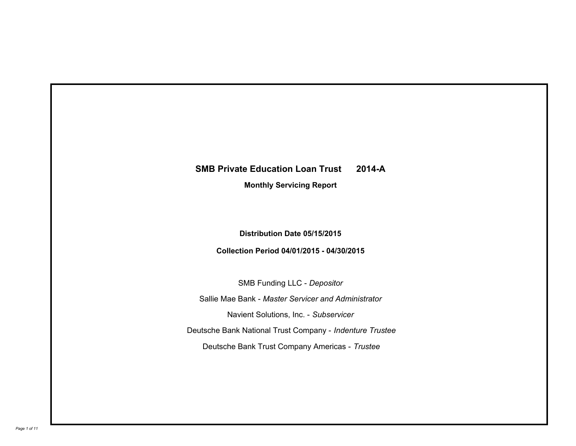# **SMB Private Education Loan Trust 2014-A**

**Monthly Servicing Report**

**Distribution Date 05/15/2015**

**Collection Period 04/01/2015 - 04/30/2015**

SMB Funding LLC - *Depositor* Sallie Mae Bank - *Master Servicer and Administrator* Deutsche Bank National Trust Company - *Indenture Trustee* Deutsche Bank Trust Company Americas - *Trustee* Navient Solutions, Inc. - *Subservicer*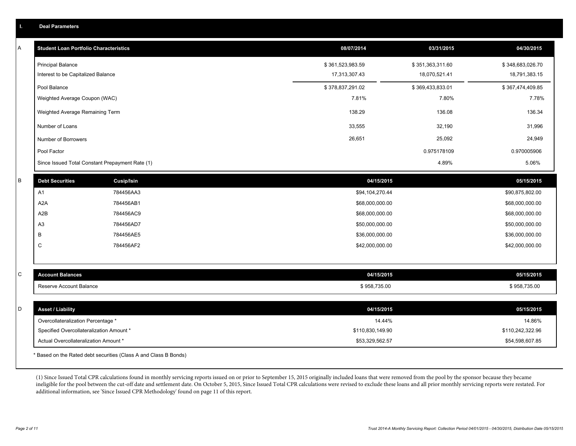| А | <b>Student Loan Portfolio Characteristics</b>                                  |                                                                  | 08/07/2014                 | 03/31/2015       | 04/30/2015                 |
|---|--------------------------------------------------------------------------------|------------------------------------------------------------------|----------------------------|------------------|----------------------------|
|   | <b>Principal Balance</b>                                                       |                                                                  | \$361,523,983.59           | \$351,363,311.60 | \$348,683,026.70           |
|   | Interest to be Capitalized Balance                                             |                                                                  | 17,313,307.43              | 18,070,521.41    | 18,791,383.15              |
|   | Pool Balance                                                                   |                                                                  | \$378,837,291.02           | \$369,433,833.01 | \$367,474,409.85           |
|   | Weighted Average Coupon (WAC)                                                  |                                                                  | 7.81%                      | 7.80%            | 7.78%                      |
|   | Weighted Average Remaining Term                                                |                                                                  | 138.29                     | 136.08           | 136.34                     |
|   | Number of Loans                                                                |                                                                  | 33,555                     | 32,190           | 31,996                     |
|   | Number of Borrowers                                                            |                                                                  | 26,651                     | 25,092           | 24,949                     |
|   | Pool Factor                                                                    |                                                                  |                            | 0.975178109      | 0.970005906                |
|   |                                                                                | Since Issued Total Constant Prepayment Rate (1)                  |                            | 4.89%            | 5.06%                      |
| B | <b>Debt Securities</b>                                                         | Cusip/Isin                                                       | 04/15/2015                 |                  | 05/15/2015                 |
|   | A1                                                                             | 784456AA3                                                        | \$94,104,270.44            |                  | \$90,875,802.00            |
|   | A <sub>2</sub> A                                                               | 784456AB1                                                        | \$68,000,000.00            |                  | \$68,000,000.00            |
|   | A <sub>2</sub> B                                                               | 784456AC9                                                        | \$68,000,000.00            |                  | \$68,000,000.00            |
|   | A <sub>3</sub>                                                                 | 784456AD7                                                        | \$50,000,000.00            |                  | \$50,000,000.00            |
|   | В                                                                              | 784456AE5                                                        | \$36,000,000.00            |                  | \$36,000,000.00            |
|   | C                                                                              | 784456AF2                                                        | \$42,000,000.00            |                  | \$42,000,000.00            |
|   |                                                                                |                                                                  |                            |                  |                            |
| C | <b>Account Balances</b>                                                        |                                                                  | 04/15/2015                 |                  | 05/15/2015                 |
|   | Reserve Account Balance                                                        |                                                                  | \$958,735.00               |                  | \$958,735.00               |
| D | <b>Asset / Liability</b>                                                       |                                                                  | 04/15/2015                 |                  | 05/15/2015                 |
|   |                                                                                |                                                                  |                            |                  |                            |
|   | Overcollateralization Percentage *<br>Specified Overcollateralization Amount * |                                                                  | 14.44%<br>\$110,830,149.90 |                  | 14.86%<br>\$110,242,322.96 |
|   | Actual Overcollateralization Amount *                                          |                                                                  | \$53,329,562.57            |                  | \$54,598,607.85            |
|   |                                                                                | * Based on the Rated debt securities (Class A and Class B Bonds) |                            |                  |                            |

(1) Since Issued Total CPR calculations found in monthly servicing reports issued on or prior to September 15, 2015 originally included loans that were removed from the pool by the sponsor because they became ineligible for the pool between the cut-off date and settlement date. On October 5, 2015, Since Issued Total CPR calculations were revised to exclude these loans and all prior monthly servicing reports were restated. For additional information, see 'Since Issued CPR Methodology' found on page 11 of this report.

**I. Deal Parameters**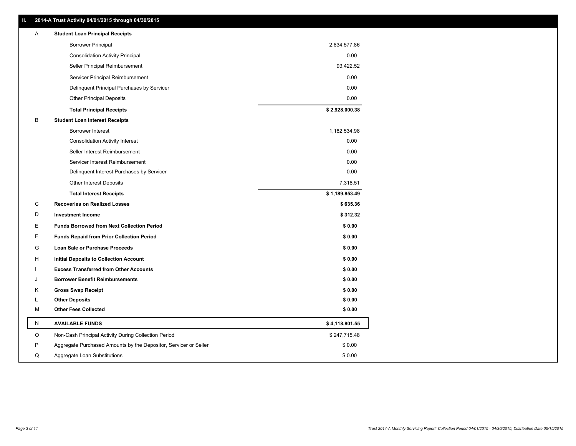|   | 2014-A Trust Activity 04/01/2015 through 04/30/2015              |                |
|---|------------------------------------------------------------------|----------------|
| Α | <b>Student Loan Principal Receipts</b>                           |                |
|   | <b>Borrower Principal</b>                                        | 2,834,577.86   |
|   | <b>Consolidation Activity Principal</b>                          | 0.00           |
|   | Seller Principal Reimbursement                                   | 93,422.52      |
|   | Servicer Principal Reimbursement                                 | 0.00           |
|   | Delinquent Principal Purchases by Servicer                       | 0.00           |
|   | <b>Other Principal Deposits</b>                                  | 0.00           |
|   | <b>Total Principal Receipts</b>                                  | \$2,928,000.38 |
| в | <b>Student Loan Interest Receipts</b>                            |                |
|   | Borrower Interest                                                | 1,182,534.98   |
|   | <b>Consolidation Activity Interest</b>                           | 0.00           |
|   | Seller Interest Reimbursement                                    | 0.00           |
|   | Servicer Interest Reimbursement                                  | 0.00           |
|   | Delinquent Interest Purchases by Servicer                        | 0.00           |
|   | <b>Other Interest Deposits</b>                                   | 7,318.51       |
|   | <b>Total Interest Receipts</b>                                   | \$1,189,853.49 |
| С | <b>Recoveries on Realized Losses</b>                             | \$635.36       |
| D | <b>Investment Income</b>                                         | \$312.32       |
| Е | <b>Funds Borrowed from Next Collection Period</b>                | \$0.00         |
| F | <b>Funds Repaid from Prior Collection Period</b>                 | \$0.00         |
| G | Loan Sale or Purchase Proceeds                                   | \$0.00         |
| н | Initial Deposits to Collection Account                           | \$0.00         |
|   | <b>Excess Transferred from Other Accounts</b>                    | \$0.00         |
| J | <b>Borrower Benefit Reimbursements</b>                           | \$0.00         |
| Κ | <b>Gross Swap Receipt</b>                                        | \$0.00         |
| L | <b>Other Deposits</b>                                            | \$0.00         |
| М | <b>Other Fees Collected</b>                                      | \$0.00         |
| Ν | <b>AVAILABLE FUNDS</b>                                           | \$4,118,801.55 |
| O | Non-Cash Principal Activity During Collection Period             | \$247,715.48   |
| P | Aggregate Purchased Amounts by the Depositor, Servicer or Seller | \$0.00         |
| Q | Aggregate Loan Substitutions                                     | \$0.00         |

**II. 2014-A Trust Activity 04/01/2015 through 04/30/2015**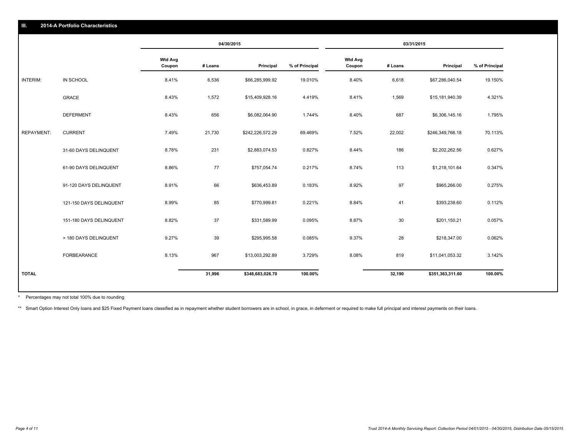|                   |                         | 04/30/2015               |         | 03/31/2015       |                |                          |         |                  |                |
|-------------------|-------------------------|--------------------------|---------|------------------|----------------|--------------------------|---------|------------------|----------------|
|                   |                         | <b>Wtd Avg</b><br>Coupon | # Loans | Principal        | % of Principal | <b>Wtd Avg</b><br>Coupon | # Loans | Principal        | % of Principal |
| INTERIM:          | IN SCHOOL               | 8.41%                    | 6,536   | \$66,285,999.92  | 19.010%        | 8.40%                    | 6,618   | \$67,286,040.54  | 19.150%        |
|                   | <b>GRACE</b>            | 8.43%                    | 1,572   | \$15,409,928.16  | 4.419%         | 8.41%                    | 1,569   | \$15,181,940.39  | 4.321%         |
|                   | <b>DEFERMENT</b>        | 8.43%                    | 656     | \$6,082,064.90   | 1.744%         | 8.40%                    | 687     | \$6,306,145.16   | 1.795%         |
| <b>REPAYMENT:</b> | <b>CURRENT</b>          | 7.49%                    | 21,730  | \$242,226,572.29 | 69.469%        | 7.52%                    | 22,002  | \$246,349,766.18 | 70.113%        |
|                   | 31-60 DAYS DELINQUENT   | 8.78%                    | 231     | \$2,883,074.53   | 0.827%         | 8.44%                    | 186     | \$2,202,262.56   | 0.627%         |
|                   | 61-90 DAYS DELINQUENT   | 8.86%                    | 77      | \$757,054.74     | 0.217%         | 8.74%                    | 113     | \$1,218,101.64   | 0.347%         |
|                   | 91-120 DAYS DELINQUENT  | 8.91%                    | 66      | \$636,453.89     | 0.183%         | 8.92%                    | 97      | \$965,266.00     | 0.275%         |
|                   | 121-150 DAYS DELINQUENT | 8.99%                    | 85      | \$770,999.81     | 0.221%         | 8.84%                    | 41      | \$393,238.60     | 0.112%         |
|                   | 151-180 DAYS DELINQUENT | 8.82%                    | 37      | \$331,589.99     | 0.095%         | 8.87%                    | 30      | \$201,150.21     | 0.057%         |
|                   | > 180 DAYS DELINQUENT   | 9.27%                    | 39      | \$295,995.58     | 0.085%         | 9.37%                    | 28      | \$218,347.00     | 0.062%         |
|                   | FORBEARANCE             | 8.13%                    | 967     | \$13,003,292.89  | 3.729%         | 8.08%                    | 819     | \$11,041,053.32  | 3.142%         |
| <b>TOTAL</b>      |                         |                          | 31,996  | \$348,683,026.70 | 100.00%        |                          | 32,190  | \$351,363,311.60 | 100.00%        |

Percentages may not total 100% due to rounding \*

\*\* Smart Option Interest Only loans and \$25 Fixed Payment loans classified as in repayment whether student borrowers are in school, in grace, in deferment or required to make full principal and interest payments on their l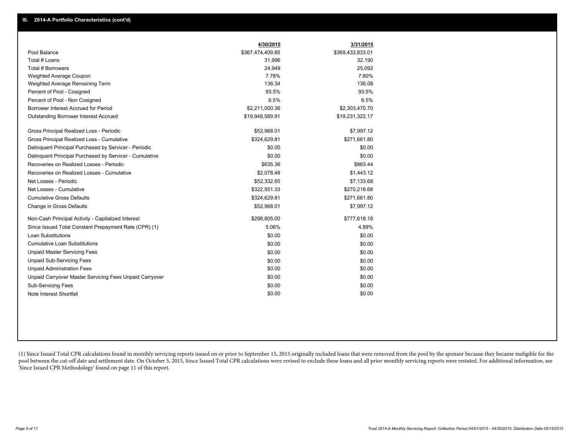|                                                         | 4/30/2015        | 3/31/2015        |
|---------------------------------------------------------|------------------|------------------|
| Pool Balance                                            | \$367,474,409.85 | \$369,433,833.01 |
| Total # Loans                                           | 31,996           | 32,190           |
| Total # Borrowers                                       | 24,949           | 25,092           |
| Weighted Average Coupon                                 | 7.78%            | 7.80%            |
| Weighted Average Remaining Term                         | 136.34           | 136.08           |
| Percent of Pool - Cosigned                              | 93.5%            | 93.5%            |
| Percent of Pool - Non Cosigned                          | 6.5%             | 6.5%             |
| Borrower Interest Accrued for Period                    | \$2,211,000.36   | \$2,303,470.70   |
| <b>Outstanding Borrower Interest Accrued</b>            | \$19,948,589.91  | \$19,231,322.17  |
| Gross Principal Realized Loss - Periodic                | \$52,968.01      | \$7,997.12       |
| Gross Principal Realized Loss - Cumulative              | \$324,629.81     | \$271,661.80     |
| Delinquent Principal Purchased by Servicer - Periodic   | \$0.00           | \$0.00           |
| Delinquent Principal Purchased by Servicer - Cumulative | \$0.00           | \$0.00           |
| Recoveries on Realized Losses - Periodic                | \$635.36         | \$863.44         |
| Recoveries on Realized Losses - Cumulative              | \$2,078.48       | \$1,443.12       |
| Net Losses - Periodic                                   | \$52,332.65      | \$7,133.68       |
| Net Losses - Cumulative                                 | \$322,551.33     | \$270,218.68     |
| <b>Cumulative Gross Defaults</b>                        | \$324,629.81     | \$271,661.80     |
| Change in Gross Defaults                                | \$52,968.01      | \$7,997.12       |
| Non-Cash Principal Activity - Capitalized Interest      | \$298,805.00     | \$777,618.18     |
| Since Issued Total Constant Prepayment Rate (CPR) (1)   | 5.06%            | 4.89%            |
| <b>Loan Substitutions</b>                               | \$0.00           | \$0.00           |
| <b>Cumulative Loan Substitutions</b>                    | \$0.00           | \$0.00           |
| <b>Unpaid Master Servicing Fees</b>                     | \$0.00           | \$0.00           |
| <b>Unpaid Sub-Servicing Fees</b>                        | \$0.00           | \$0.00           |
| <b>Unpaid Administration Fees</b>                       | \$0.00           | \$0.00           |
| Unpaid Carryover Master Servicing Fees Unpaid Carryover | \$0.00           | \$0.00           |
| Sub-Servicing Fees                                      | \$0.00           | \$0.00           |
| Note Interest Shortfall                                 | \$0.00           | \$0.00           |

(1) Since Issued Total CPR calculations found in monthly servicing reports issued on or prior to September 15, 2015 originally included loans that were removed from the pool by the sponsor because they became ineligible fo pool between the cut-off date and settlement date. On October 5, 2015, Since Issued Total CPR calculations were revised to exclude these loans and all prior monthly servicing reports were restated. For additional informati 'Since Issued CPR Methodology' found on page 11 of this report.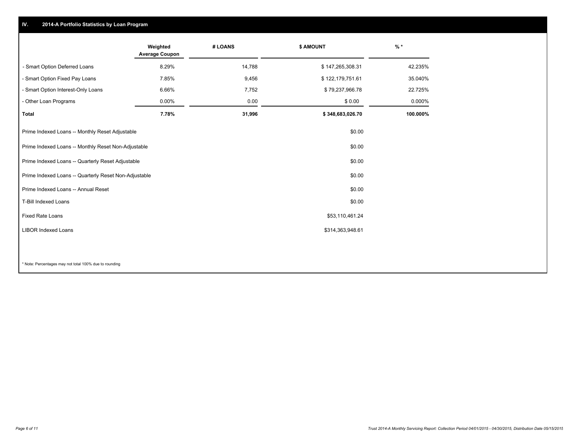### **IV. 2014-A Portfolio Statistics by Loan Program**

|                                                       | Weighted<br><b>Average Coupon</b> | # LOANS | <b>\$ AMOUNT</b> | $\frac{9}{6}$ * |
|-------------------------------------------------------|-----------------------------------|---------|------------------|-----------------|
| - Smart Option Deferred Loans                         | 8.29%                             | 14,788  | \$147,265,308.31 | 42.235%         |
| - Smart Option Fixed Pay Loans                        | 7.85%                             | 9,456   | \$122,179,751.61 | 35.040%         |
| - Smart Option Interest-Only Loans                    | 6.66%                             | 7,752   | \$79,237,966.78  | 22.725%         |
| - Other Loan Programs                                 | $0.00\%$                          | 0.00    | \$0.00           | 0.000%          |
| <b>Total</b>                                          | 7.78%                             | 31,996  | \$348,683,026.70 | 100.000%        |
| Prime Indexed Loans -- Monthly Reset Adjustable       |                                   |         | \$0.00           |                 |
| Prime Indexed Loans -- Monthly Reset Non-Adjustable   |                                   |         | \$0.00           |                 |
| Prime Indexed Loans -- Quarterly Reset Adjustable     |                                   |         | \$0.00           |                 |
| Prime Indexed Loans -- Quarterly Reset Non-Adjustable |                                   |         | \$0.00           |                 |
| Prime Indexed Loans -- Annual Reset                   |                                   |         | \$0.00           |                 |
| T-Bill Indexed Loans                                  |                                   |         | \$0.00           |                 |
| <b>Fixed Rate Loans</b>                               |                                   |         | \$53,110,461.24  |                 |
| <b>LIBOR Indexed Loans</b>                            |                                   |         | \$314,363,948.61 |                 |
|                                                       |                                   |         |                  |                 |

\* Note: Percentages may not total 100% due to rounding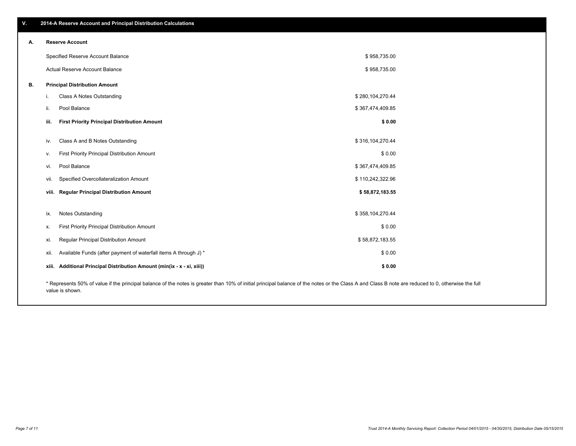|    | Specified Reserve Account Balance                                                                                                                                                                  |                                                                         | \$958,735.00     |  |  |
|----|----------------------------------------------------------------------------------------------------------------------------------------------------------------------------------------------------|-------------------------------------------------------------------------|------------------|--|--|
|    |                                                                                                                                                                                                    | <b>Actual Reserve Account Balance</b>                                   | \$958,735.00     |  |  |
| В. |                                                                                                                                                                                                    | <b>Principal Distribution Amount</b>                                    |                  |  |  |
|    | Ι.                                                                                                                                                                                                 | Class A Notes Outstanding                                               | \$280,104,270.44 |  |  |
|    | ii.                                                                                                                                                                                                | Pool Balance                                                            | \$367,474,409.85 |  |  |
|    | iii.                                                                                                                                                                                               | <b>First Priority Principal Distribution Amount</b>                     | \$0.00           |  |  |
|    | iv.                                                                                                                                                                                                | Class A and B Notes Outstanding                                         | \$316,104,270.44 |  |  |
|    | v.                                                                                                                                                                                                 | First Priority Principal Distribution Amount                            | \$0.00           |  |  |
|    | VI.                                                                                                                                                                                                | Pool Balance                                                            | \$367,474,409.85 |  |  |
|    | VII.                                                                                                                                                                                               | Specified Overcollateralization Amount                                  | \$110,242,322.96 |  |  |
|    | VIII.                                                                                                                                                                                              | <b>Regular Principal Distribution Amount</b>                            | \$58,872,183.55  |  |  |
|    |                                                                                                                                                                                                    |                                                                         |                  |  |  |
|    | ix.                                                                                                                                                                                                | Notes Outstanding                                                       | \$358,104,270.44 |  |  |
|    | х.                                                                                                                                                                                                 | First Priority Principal Distribution Amount                            | \$0.00           |  |  |
|    | xi.                                                                                                                                                                                                | Regular Principal Distribution Amount                                   | \$58,872,183.55  |  |  |
|    | XII.                                                                                                                                                                                               | Available Funds (after payment of waterfall items A through J) *        | \$0.00           |  |  |
|    |                                                                                                                                                                                                    | xiii. Additional Principal Distribution Amount (min(ix - x - xi, xiii)) | \$0.00           |  |  |
|    | * Represents 50% of value if the principal balance of the notes is greater than 10% of initial principal balance of the notes or the Class A and Class B note are reduced to 0, otherwise the full |                                                                         |                  |  |  |

epresents 50% of value if the principal balance of the notes is greater than 10% of initial principal balance of the notes or the Class A and Class B note are reduced to 0, otherwise the full value is shown.

**A. Reserve Account**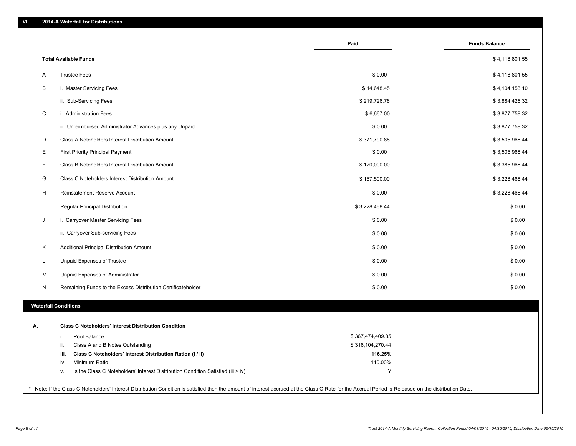|    |                                                                                        | Paid             | <b>Funds Balance</b> |
|----|----------------------------------------------------------------------------------------|------------------|----------------------|
|    | <b>Total Available Funds</b>                                                           |                  | \$4,118,801.55       |
| A  | <b>Trustee Fees</b>                                                                    | \$0.00           | \$4,118,801.55       |
| B  | i. Master Servicing Fees                                                               | \$14,648.45      | \$4,104,153.10       |
|    | ii. Sub-Servicing Fees                                                                 | \$219,726.78     | \$3,884,426.32       |
| C  | i. Administration Fees                                                                 | \$6,667.00       | \$3,877,759.32       |
|    | ii. Unreimbursed Administrator Advances plus any Unpaid                                | \$0.00           | \$3,877,759.32       |
| D  | Class A Noteholders Interest Distribution Amount                                       | \$371,790.88     | \$3,505,968.44       |
| Е  | <b>First Priority Principal Payment</b>                                                | \$0.00           | \$3,505,968.44       |
| F  | Class B Noteholders Interest Distribution Amount                                       | \$120,000.00     | \$3,385,968.44       |
| G  | Class C Noteholders Interest Distribution Amount                                       | \$157,500.00     | \$3,228,468.44       |
| H  | Reinstatement Reserve Account                                                          | \$0.00           | \$3,228,468.44       |
| L  | Regular Principal Distribution                                                         | \$3,228,468.44   | \$0.00               |
| J  | i. Carryover Master Servicing Fees                                                     | \$0.00           | \$0.00               |
|    | ii. Carryover Sub-servicing Fees                                                       | \$0.00           | \$0.00               |
| Κ  | Additional Principal Distribution Amount                                               | \$0.00           | \$0.00               |
| L  | Unpaid Expenses of Trustee                                                             | \$0.00           | \$0.00               |
| м  | Unpaid Expenses of Administrator                                                       | \$0.00           | \$0.00               |
| N  | Remaining Funds to the Excess Distribution Certificateholder                           | \$0.00           | \$0.00               |
|    | <b>Waterfall Conditions</b>                                                            |                  |                      |
|    |                                                                                        |                  |                      |
| А. | <b>Class C Noteholders' Interest Distribution Condition</b>                            |                  |                      |
|    | Pool Balance<br>i.                                                                     | \$367,474,409.85 |                      |
|    | Class A and B Notes Outstanding<br>ii.                                                 | \$316,104,270.44 |                      |
|    | Class C Noteholders' Interest Distribution Ration (i / ii)<br>iii.                     | 116.25%          |                      |
|    | Minimum Ratio<br>iv.                                                                   | 110.00%          |                      |
|    | Is the Class C Noteholders' Interest Distribution Condition Satisfied (iii > iv)<br>٧. | Y                |                      |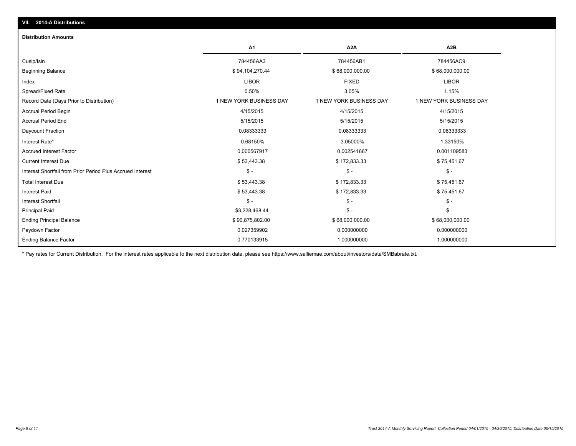#### **Distribution Amounts**

|                                                            | A <sub>1</sub>          | A <sub>2</sub> A        | A2B                     |
|------------------------------------------------------------|-------------------------|-------------------------|-------------------------|
| Cusip/Isin                                                 | 784456AA3               | 784456AB1               | 784456AC9               |
| <b>Beginning Balance</b>                                   | \$94,104,270.44         | \$68,000,000.00         | \$68,000,000.00         |
| Index                                                      | <b>LIBOR</b>            | <b>FIXED</b>            | <b>LIBOR</b>            |
| Spread/Fixed Rate                                          | 0.50%                   | 3.05%                   | 1.15%                   |
| Record Date (Days Prior to Distribution)                   | 1 NEW YORK BUSINESS DAY | 1 NEW YORK BUSINESS DAY | 1 NEW YORK BUSINESS DAY |
| Accrual Period Begin                                       | 4/15/2015               | 4/15/2015               | 4/15/2015               |
| <b>Accrual Period End</b>                                  | 5/15/2015               | 5/15/2015               | 5/15/2015               |
| Daycount Fraction                                          | 0.08333333              | 0.08333333              | 0.08333333              |
| Interest Rate*                                             | 0.68150%                | 3.05000%                | 1.33150%                |
| <b>Accrued Interest Factor</b>                             | 0.000567917             | 0.002541667             | 0.001109583             |
| <b>Current Interest Due</b>                                | \$53,443.38             | \$172,833.33            | \$75,451.67             |
| Interest Shortfall from Prior Period Plus Accrued Interest | $\mathcal{S}$ -         | $\mathcal{S}$ -         | $\mathsf{\$}$ -         |
| <b>Total Interest Due</b>                                  | \$53,443.38             | \$172,833.33            | \$75,451.67             |
| <b>Interest Paid</b>                                       | \$53,443.38             | \$172,833.33            | \$75,451.67             |
| <b>Interest Shortfall</b>                                  | $\mathcal{S}$ -         | $\mathsf{\$}$ -         | $\mathsf{\$}$ -         |
| <b>Principal Paid</b>                                      | \$3,228,468.44          | $\mathsf{\$}$ -         | $\mathsf{\$}$ -         |
| <b>Ending Principal Balance</b>                            | \$90,875,802.00         | \$68,000,000.00         | \$68,000,000.00         |
| Paydown Factor                                             | 0.027359902             | 0.000000000             | 0.000000000             |
| <b>Ending Balance Factor</b>                               | 0.770133915             | 1.000000000             | 1.000000000             |

\* Pay rates for Current Distribution. For the interest rates applicable to the next distribution date, please see https://www.salliemae.com/about/investors/data/SMBabrate.txt.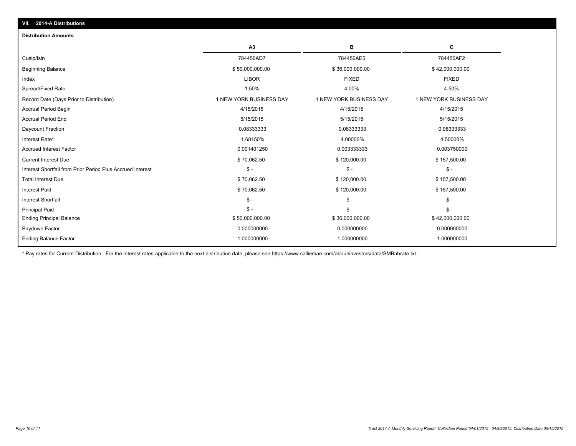| VII. 2014-A Distributions                                  |                         |                         |                         |  |  |  |
|------------------------------------------------------------|-------------------------|-------------------------|-------------------------|--|--|--|
| <b>Distribution Amounts</b>                                |                         |                         |                         |  |  |  |
|                                                            | A3                      | в                       | C                       |  |  |  |
| Cusip/Isin                                                 | 784456AD7               | 784456AE5               | 784456AF2               |  |  |  |
| <b>Beginning Balance</b>                                   | \$50,000,000.00         | \$36,000,000.00         | \$42,000,000.00         |  |  |  |
| Index                                                      | <b>LIBOR</b>            | <b>FIXED</b>            | <b>FIXED</b>            |  |  |  |
| Spread/Fixed Rate                                          | 1.50%                   | 4.00%                   | 4.50%                   |  |  |  |
| Record Date (Days Prior to Distribution)                   | 1 NEW YORK BUSINESS DAY | 1 NEW YORK BUSINESS DAY | 1 NEW YORK BUSINESS DAY |  |  |  |
| <b>Accrual Period Begin</b>                                | 4/15/2015               | 4/15/2015               | 4/15/2015               |  |  |  |
| <b>Accrual Period End</b>                                  | 5/15/2015               | 5/15/2015               | 5/15/2015               |  |  |  |
| Daycount Fraction                                          | 0.08333333              | 0.08333333              | 0.08333333              |  |  |  |
| Interest Rate*                                             | 1.68150%                | 4.00000%                | 4.50000%                |  |  |  |
| <b>Accrued Interest Factor</b>                             | 0.001401250             | 0.003333333             | 0.003750000             |  |  |  |
| <b>Current Interest Due</b>                                | \$70,062.50             | \$120,000.00            | \$157,500.00            |  |  |  |
| Interest Shortfall from Prior Period Plus Accrued Interest | $S -$                   | $S -$                   | $\mathsf{\$}$ -         |  |  |  |
| <b>Total Interest Due</b>                                  | \$70,062.50             | \$120,000.00            | \$157,500.00            |  |  |  |
| <b>Interest Paid</b>                                       | \$70,062.50             | \$120,000.00            | \$157,500.00            |  |  |  |
| <b>Interest Shortfall</b>                                  | $\frac{2}{3}$ -         | $\frac{2}{3}$ -         | $\mathsf{\$}$ -         |  |  |  |
| <b>Principal Paid</b>                                      | $S -$                   | $S -$                   | $S -$                   |  |  |  |
| <b>Ending Principal Balance</b>                            | \$50,000,000.00         | \$36,000,000.00         | \$42,000,000.00         |  |  |  |
| Paydown Factor                                             | 0.000000000             | 0.000000000             | 0.000000000             |  |  |  |
| <b>Ending Balance Factor</b>                               | 1.000000000             | 1.000000000             | 1.000000000             |  |  |  |

\* Pay rates for Current Distribution. For the interest rates applicable to the next distribution date, please see https://www.salliemae.com/about/investors/data/SMBabrate.txt.